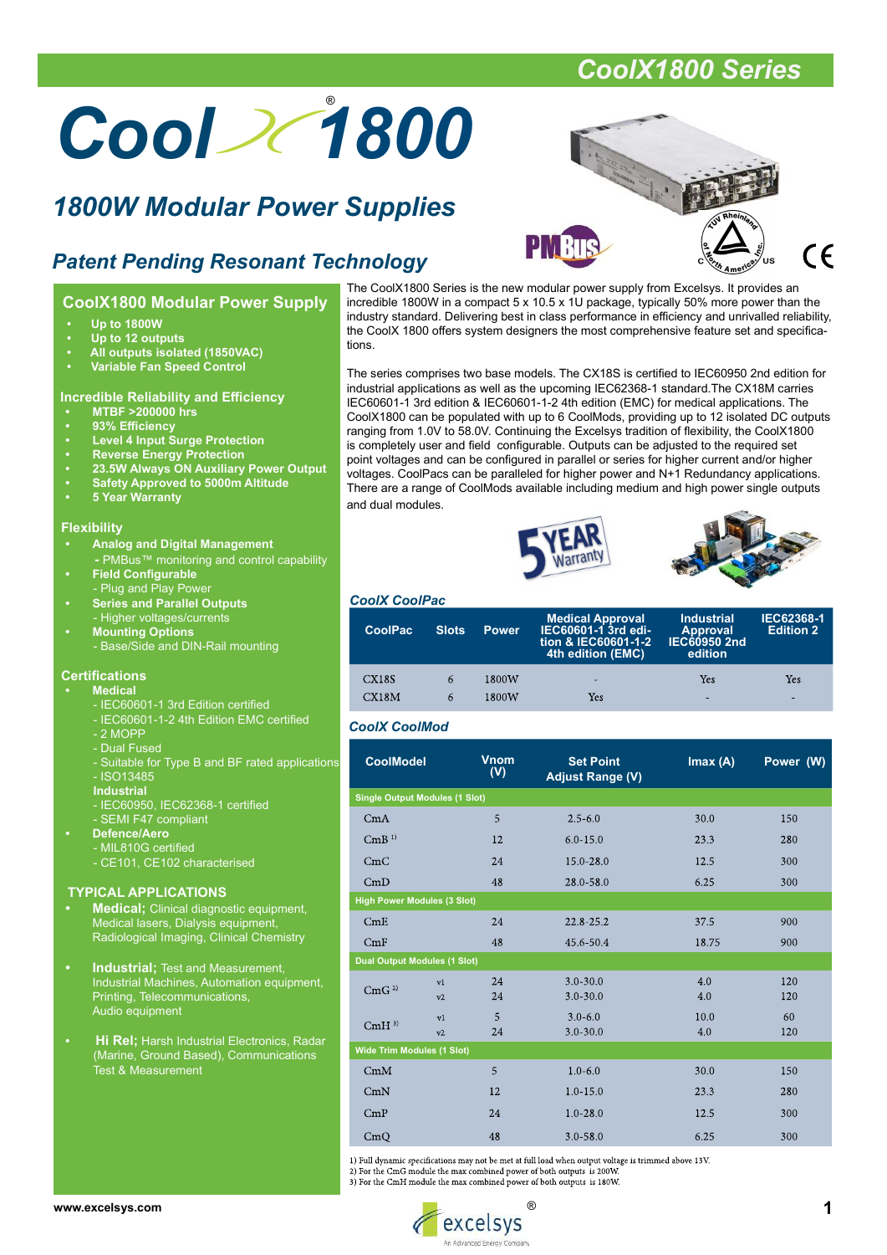# Cool 2 1800

# 1800W Modular Power Supplies



# Patent Pending Resonant Technology

## CoolX1800 Modular Power Supply

- Up to 1800W
- Up to 12 outputs
- All outputs isolated (1850VAC)
- Variable Fan Speed Control

## Incredible Reliability and Efficiency

- MTBF >200000 hrs
- 93% Efficiency
- Level 4 Input Surge Protection
- Reverse Energy Protection
- 23.5W Always ON Auxiliary Power Output
- Safety Approved to 5000m Altitude
- 5 Year Warranty

### **Flexibility**

- Analog and Digital Management
- PMBus™ monitoring and control capability • Field Configurable
	- Plug and Play Power • Series and Parallel Outputs
- **Higher voltages/currents Mounting Options** 
	- Base/Side and DIN-Rail mounting

## **Certifications**

- **Medical** 
	- IEC60601-1 3rd Edition certified
	- IEC60601-1-2 4th Edition EMC certified
	- 2 MOPP
	- Dual Fused
	- Suitable for Type B and BF rated applications
	- ISO13485
	- Industrial
	- IEC60950, IEC62368-1 certified
	- SEMI F47 compliant
	- Defence/Aero - MIL810G certified
		- CE101, CE102 characterised

#### TYPICAL APPLICATIONS

- **Medical:** Clinical diagnostic equipment, Medical lasers, Dialysis equipment, Radiological Imaging, Clinical Chemistry
- Industrial; Test and Measurement, Industrial Machines, Automation equipment, Printing, Telecommunications, Audio equipment
- **Hi Rel; Harsh Industrial Electronics, Radar**  (Marine, Ground Based), Communications **Test & Measurement**

The CoolX1800 Series is the new modular power supply from Excelsys. It provides an incredible 1800W in a compact 5 x 10.5 x 1U package, typically 50% more power than the industry standard. Delivering best in class performance in efficiency and unrivalled reliability, the CoolX 1800 offers system designers the most comprehensive feature set and specifications.

The series comprises two base models. The CX18S is certified to IEC60950 2nd edition for industrial applications as well as the upcoming IEC62368-1 standard.The CX18M carries IEC60601-1 3rd edition & IEC60601-1-2 4th edition (EMC) for medical applications. The CoolX1800 can be populated with up to 6 CoolMods, providing up to 12 isolated DC outputs ranging from 1.0V to 58.0V. Continuing the Excelsys tradition of flexibility, the CoolX1800 is completely user and field configurable. Outputs can be adjusted to the required set point voltages and can be configured in parallel or series for higher current and/or higher voltages. CoolPacs can be paralleled for higher power and N+1 Redundancy applications. There are a range of CoolMods available including medium and high power single outputs and dual modules.





#### CoolX CoolPac

| <b>CoolPac</b> | <b>Slots</b> | <b>Power</b> | <b>Medical Approval</b><br>IEC60601-1 3rd edi-<br>tion & IEC60601-1-2<br>4th edition (EMC) | <b>Industrial</b><br><b>Approval</b><br>IEC60950 2nd<br>edition | <b>IEC62368-1</b><br><b>Edition 2</b> |
|----------------|--------------|--------------|--------------------------------------------------------------------------------------------|-----------------------------------------------------------------|---------------------------------------|
| <b>CX18S</b>   | 6            | 1800W        | Yes                                                                                        | Yes                                                             | Yes                                   |
| CX18M          | 6            | 1800W        |                                                                                            | -                                                               | -                                     |

## CoolX CoolMod

| <b>CoolModel</b> |                                       | <b>Vnom</b><br>(V) | <b>Set Point</b><br><b>Adjust Range (V)</b> | Imax(A)     | Power (W)  |
|------------------|---------------------------------------|--------------------|---------------------------------------------|-------------|------------|
|                  | <b>Single Output Modules (1 Slot)</b> |                    |                                             |             |            |
| CmA              |                                       | 5                  | $2.5 - 6.0$                                 | 30.0        | 150        |
| CmB <sup>1</sup> |                                       | 12                 | $6.0 - 15.0$                                | 23.3        | 280        |
| CmC              |                                       | 24                 | $15.0 - 28.0$                               | 12.5        | 300        |
| CmD              |                                       | 48                 | 28.0-58.0                                   | 6.25        | 300        |
|                  | <b>High Power Modules (3 Slot)</b>    |                    |                                             |             |            |
| CmE              |                                       | 24                 | $22.8 - 25.2$                               | 37.5        | 900        |
| CmF              |                                       | 48                 | 45.6-50.4                                   | 18.75       | 900        |
|                  | <b>Dual Output Modules (1 Slot)</b>   |                    |                                             |             |            |
| CmG <sup>2</sup> | v1<br>v2                              | 24<br>24           | $3.0 - 30.0$<br>$3.0 - 30.0$                | 4.0<br>4.0  | 120<br>120 |
| $CmH^{3}$        | v1<br>v2                              | 5<br>24            | $3.0 - 6.0$<br>$3.0 - 30.0$                 | 10.0<br>4.0 | 60<br>120  |
|                  | <b>Wide Trim Modules (1 Slot)</b>     |                    |                                             |             |            |
| CmM              |                                       | 5                  | $1.0 - 6.0$                                 | 30.0        | 150        |
| CmN              |                                       | 12                 | $1.0 - 15.0$                                | 23.3        | 280        |
| CmP              |                                       | 24                 | $1.0 - 28.0$                                | 12.5        | 300        |
| CmQ              |                                       | 48                 | $3.0 - 58.0$                                | 6.25        | 300        |

1) Full dynamic specifications may not be met at full load when output voltage is trimmed above 13V.

2) For the CmG module the max combined power of both outputs is 200W

3) For the CmH module the max combined power of both outputs is 180W.

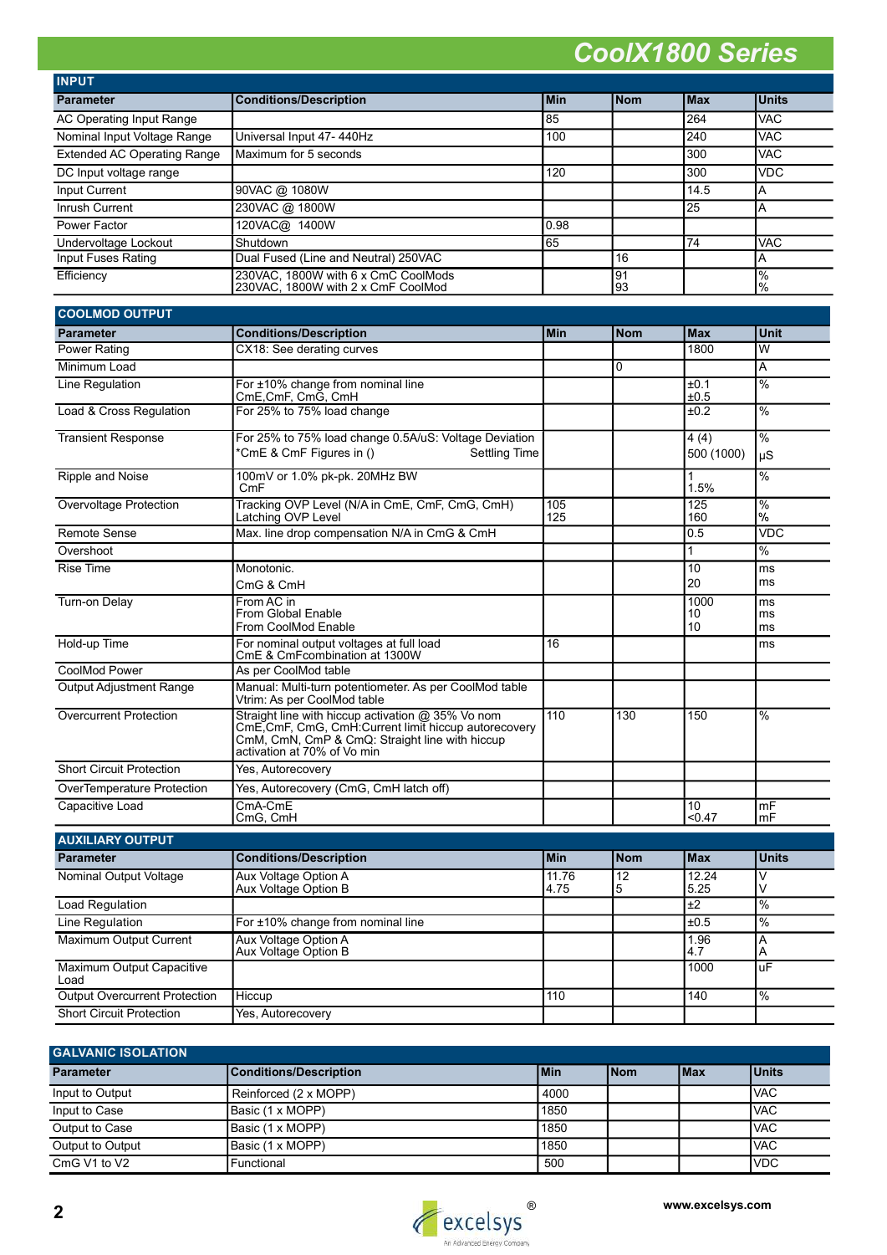| <b>INPUT</b>                       |                                                                           |            |            |            |                       |
|------------------------------------|---------------------------------------------------------------------------|------------|------------|------------|-----------------------|
| <b>Parameter</b>                   | <b>Conditions/Description</b>                                             | <b>Min</b> | <b>Nom</b> | <b>Max</b> | <b>Units</b>          |
| AC Operating Input Range           |                                                                           | 85         |            | 264        | <b>VAC</b>            |
| Nominal Input Voltage Range        | Universal Input 47-440Hz                                                  | 100        |            | 240        | <b>VAC</b>            |
| <b>Extended AC Operating Range</b> | Maximum for 5 seconds                                                     |            |            | 300        | <b>VAC</b>            |
| DC Input voltage range             |                                                                           | 120        |            | 300        | <b>VDC</b>            |
| Input Current                      | 90VAC @ 1080W                                                             |            |            | 14.5       | A                     |
| Inrush Current                     | 230VAC @ 1800W                                                            |            |            | 25         | A                     |
| Power Factor                       | 120VAC@ 1400W                                                             | 0.98       |            |            |                       |
| Undervoltage Lockout               | Shutdown                                                                  | 65         |            | 74         | <b>VAC</b>            |
| Input Fuses Rating                 | Dual Fused (Line and Neutral) 250VAC                                      |            | 16         |            | Α                     |
| Efficiency                         | 230VAC, 1800W with 6 x CmC CoolMods<br>230VAC, 1800W with 2 x CmF CoolMod |            | l91<br>93  |            | $\frac{0}{0}$<br>$\%$ |

| <b>COOLMOD OUTPUT</b>             |                                                                                                                                                                                             |               |                      |                    |                                |
|-----------------------------------|---------------------------------------------------------------------------------------------------------------------------------------------------------------------------------------------|---------------|----------------------|--------------------|--------------------------------|
| <b>Parameter</b>                  | <b>Conditions/Description</b>                                                                                                                                                               | Min           | <b>Nom</b>           | <b>Max</b>         | Unit                           |
| <b>Power Rating</b>               | CX18: See derating curves                                                                                                                                                                   |               |                      | 1800               | W                              |
| Minimum Load                      |                                                                                                                                                                                             |               | $\mathbf{0}$         |                    | A                              |
| Line Regulation                   | For ±10% change from nominal line<br>CmE, CmF, CmG, CmH                                                                                                                                     |               |                      | ±0.1<br>±0.5       | $\frac{0}{0}$                  |
| Load & Cross Regulation           | For 25% to 75% load change                                                                                                                                                                  |               |                      | ±0.2               | %                              |
| <b>Transient Response</b>         | For 25% to 75% load change 0.5A/uS: Voltage Deviation<br>*CmE & CmF Figures in ()<br><b>Settling Time</b>                                                                                   |               |                      | 4(4)<br>500 (1000) | %<br>uS                        |
| Ripple and Noise                  | 100mV or 1.0% pk-pk. 20MHz BW<br>CmF                                                                                                                                                        |               |                      | 1<br>1.5%          | $\frac{9}{6}$                  |
| Overvoltage Protection            | Tracking OVP Level (N/A in CmE, CmF, CmG, CmH)<br>Latching OVP Level                                                                                                                        | 105<br>125    |                      | 125<br>160         | $\%$<br>$\%$                   |
| <b>Remote Sense</b>               | Max. line drop compensation N/A in CmG & CmH                                                                                                                                                |               |                      | 0.5                | <b>VDC</b>                     |
| Overshoot                         |                                                                                                                                                                                             |               |                      | 1                  | %                              |
| <b>Rise Time</b>                  | Monotonic.<br>CmG & CmH                                                                                                                                                                     |               |                      | 10<br>20           | ms<br>ms                       |
| <b>Turn-on Delay</b>              | From AC in<br>From Global Enable<br>From CoolMod Enable                                                                                                                                     |               |                      | 1000<br>10<br>10   | ms<br>ms<br>ms                 |
| Hold-up Time                      | For nominal output voltages at full load<br>CmE & CmFcombination at 1300W                                                                                                                   | 16            |                      |                    | ms                             |
| <b>CoolMod Power</b>              | As per CoolMod table                                                                                                                                                                        |               |                      |                    |                                |
| <b>Output Adjustment Range</b>    | Manual: Multi-turn potentiometer. As per CoolMod table<br>Vtrim: As per CoolMod table                                                                                                       |               |                      |                    |                                |
| <b>Overcurrent Protection</b>     | Straight line with hiccup activation @ 35% Vo nom<br>CmE, CmF, CmG, CmH: Current limit hiccup autorecovery<br>CmM, CmN, CmP & CmQ: Straight line with hiccup<br>activation at 70% of Vo min | 110           | 130                  | 150                | $\frac{0}{0}$                  |
| <b>Short Circuit Protection</b>   | Yes, Autorecovery                                                                                                                                                                           |               |                      |                    |                                |
| <b>OverTemperature Protection</b> | Yes, Autorecovery (CmG, CmH latch off)                                                                                                                                                      |               |                      |                    |                                |
| Capacitive Load                   | CmA-CmE<br>CmG, CmH                                                                                                                                                                         |               |                      | 10<br>< 0.47       | mF<br>$\mathsf{Im} \mathsf{F}$ |
| <b>AUXILIARY OUTPUT</b>           |                                                                                                                                                                                             |               |                      |                    |                                |
| <b>Parameter</b>                  | <b>Conditions/Description</b>                                                                                                                                                               | <b>Min</b>    | <b>Nom</b>           | <b>Max</b>         | <b>Units</b>                   |
| Nominal Output Voltage            | Aux Voltage Option A<br>Aux Voltage Option B                                                                                                                                                | 11.76<br>4.75 | $\overline{12}$<br>5 | 12.24<br>5.25      | V                              |
| Load Regulation                   |                                                                                                                                                                                             |               |                      | $\overline{\pm 2}$ | $\frac{9}{6}$                  |
| Line Regulation                   | For ±10% change from nominal line                                                                                                                                                           |               |                      | ±0.5               | $\overline{\frac{9}{6}}$       |
| Maximum Output Current            | Aux Voltage Option A                                                                                                                                                                        |               |                      | 1.96               | $\overline{\mathsf{A}}$        |

| Maximum Output Current               | Aux Voltage Option A<br>Aux Voltage Option B |     | 1.96 |                |
|--------------------------------------|----------------------------------------------|-----|------|----------------|
| Maximum Output Capacitive<br>Load    |                                              |     | 1000 | luF            |
| <b>Output Overcurrent Protection</b> | <b>I</b> Hiccup                              | 110 | 140  | $\frac{10}{6}$ |
| <b>Short Circuit Protection</b>      | Yes, Autorecovery                            |     |      |                |

| <b>GALVANIC ISOLATION</b> |                        |            |             |       |              |
|---------------------------|------------------------|------------|-------------|-------|--------------|
| <b>Parameter</b>          | Conditions/Description | <b>Min</b> | <b>INom</b> | l Max | <b>Units</b> |
| Input to Output           | Reinforced (2 x MOPP)  | 4000       |             |       | <b>IVAC</b>  |
| Input to Case             | Basic (1 x MOPP)       | 1850       |             |       | <b>IVAC</b>  |
| Output to Case            | Basic (1 x MOPP)       | 1850       |             |       | <b>VAC</b>   |
| Output to Output          | Basic (1 x MOPP)       | 1850       |             |       | <b>VAC</b>   |
| CmG V1 to V2              | Functional             | 500        |             |       | <b>VDC</b>   |

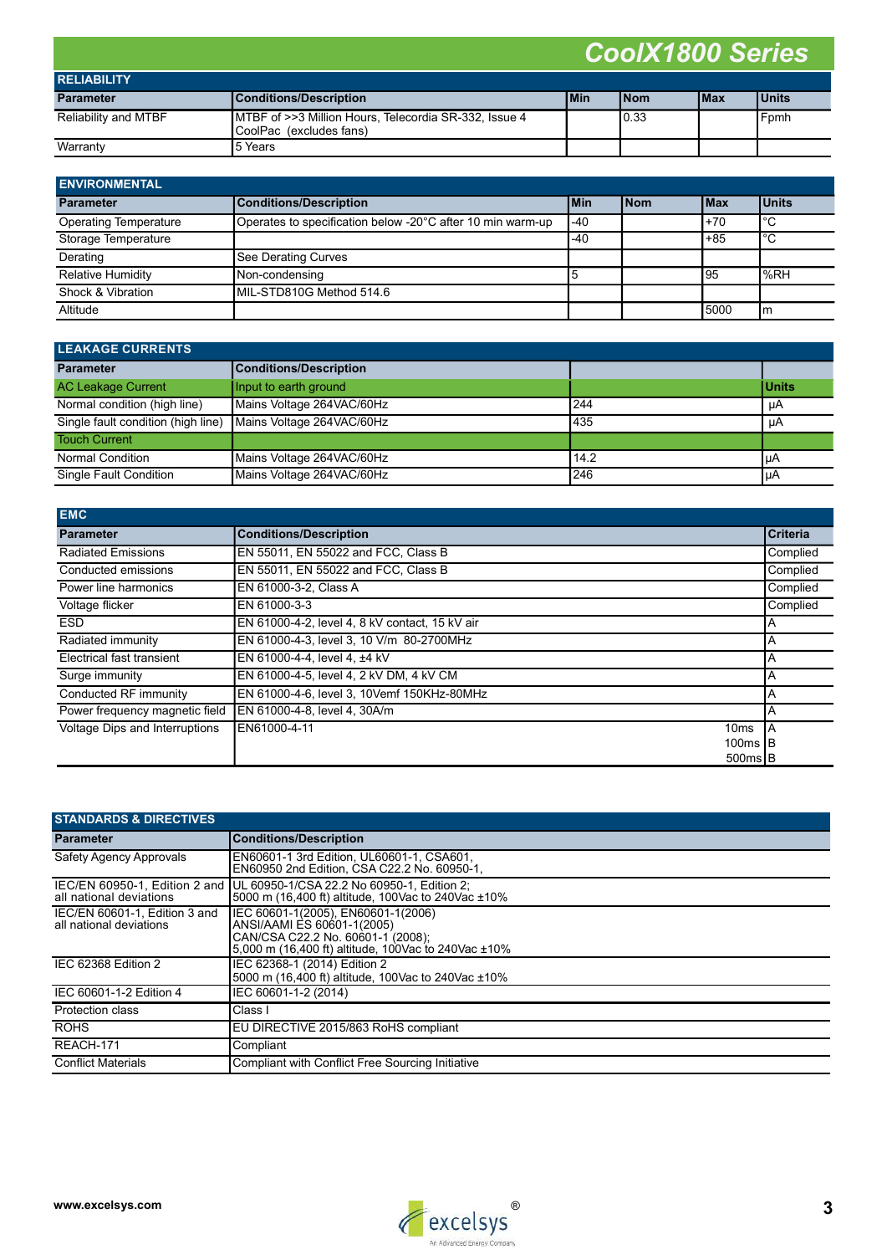| <b>RELIABILITY</b>          |                                                                                   |            |             |             |              |
|-----------------------------|-----------------------------------------------------------------------------------|------------|-------------|-------------|--------------|
| <b>Parameter</b>            | <b>Conditions/Description</b>                                                     | <b>Min</b> | <b>INom</b> | <b>IMax</b> | <b>Units</b> |
| <b>Reliability and MTBF</b> | IMTBF of >>3 Million Hours, Telecordia SR-332, Issue 4<br>CoolPac (excludes fans) |            | 0.33        |             | Fpmh         |
| Warranty                    | l5 Years                                                                          |            |             |             |              |

| <b>ENVIRONMENTAL</b>         |                                                            |             |       |             |               |
|------------------------------|------------------------------------------------------------|-------------|-------|-------------|---------------|
| <b>Parameter</b>             | Conditions/Description                                     | <b>IMin</b> | l Nom | <b>IMax</b> | <u>IUnits</u> |
| <b>Operating Temperature</b> | Operates to specification below -20°C after 10 min warm-up | $-40$       |       | $+70$       | $^{\circ}$ C  |
| Storage Temperature          |                                                            | .-40        |       | $+85$       | ۰c            |
| Derating                     | See Derating Curves                                        |             |       |             |               |
| <b>Relative Humidity</b>     | Non-condensing                                             |             |       | l 95        | %RH           |
| Shock & Vibration            | MIL-STD810G Method 514.6                                   |             |       |             |               |
| Altitude                     |                                                            |             |       | 5000        | l m           |

| <b>LEAKAGE CURRENTS</b>            |                               |      |               |  |
|------------------------------------|-------------------------------|------|---------------|--|
| <b>Parameter</b>                   | <b>Conditions/Description</b> |      |               |  |
| <b>AC Leakage Current</b>          | Input to earth ground         |      | <b>IUnits</b> |  |
| Normal condition (high line)       | Mains Voltage 264 VAC/60Hz    | 244  | μA            |  |
| Single fault condition (high line) | Mains Voltage 264VAC/60Hz     | 435  | иA            |  |
| <b>Touch Current</b>               |                               |      |               |  |
| <b>Normal Condition</b>            | Mains Voltage 264VAC/60Hz     | 14.2 | <b>I</b> uA   |  |
| Single Fault Condition             | Mains Voltage 264VAC/60Hz     | 246  | l µA          |  |

| <b>EMC</b>                     |                                                |                 |
|--------------------------------|------------------------------------------------|-----------------|
| <b>Parameter</b>               | <b>Conditions/Description</b>                  | <b>Criteria</b> |
| <b>Radiated Emissions</b>      | EN 55011, EN 55022 and FCC, Class B            | Complied        |
| Conducted emissions            | EN 55011, EN 55022 and FCC, Class B            | Complied        |
| Power line harmonics           | EN 61000-3-2, Class A                          | Complied        |
| Voltage flicker                | EN 61000-3-3                                   | Complied        |
| <b>ESD</b>                     | EN 61000-4-2, level 4, 8 kV contact, 15 kV air | A               |
| Radiated immunity              | EN 61000-4-3, level 3, 10 V/m 80-2700MHz       | A               |
| Electrical fast transient      | EN 61000-4-4. level 4. ±4 kV                   | A               |
| Surge immunity                 | EN 61000-4-5, level 4, 2 kV DM, 4 kV CM        | A               |
| Conducted RF immunity          | EN 61000-4-6, level 3, 10Vemf 150KHz-80MHz     | A               |
| Power frequency magnetic field | EN 61000-4-8, level 4, 30A/m                   | Α               |
| Voltage Dips and Interruptions | EN61000-4-11<br>10 <sub>ms</sub>               | IΑ              |
|                                | 100 $ms$ IB                                    |                 |
|                                | $500ms$ <sub>B</sub>                           |                 |

| <b>STANDARDS &amp; DIRECTIVES</b>                        |                                                                                                                                                              |  |  |  |  |
|----------------------------------------------------------|--------------------------------------------------------------------------------------------------------------------------------------------------------------|--|--|--|--|
| <b>Parameter</b>                                         | <b>Conditions/Description</b>                                                                                                                                |  |  |  |  |
| Safety Agency Approvals                                  | EN60601-1 3rd Edition, UL60601-1, CSA601.<br>EN60950 2nd Edition. CSA C22.2 No. 60950-1.                                                                     |  |  |  |  |
| all national deviations                                  | IEC/EN 60950-1, Edition 2 and JUL 60950-1/CSA 22.2 No 60950-1, Edition 2;<br>5000 m (16,400 ft) altitude, 100Vac to 240Vac ±10%                              |  |  |  |  |
| IEC/EN 60601-1, Edition 3 and<br>all national deviations | IEC 60601-1(2005), EN60601-1(2006)<br>ANSI/AAMI ES 60601-1(2005)<br>CAN/CSA C22.2 No. 60601-1 (2008);<br>5,000 m (16,400 ft) altitude, 100Vac to 240Vac ±10% |  |  |  |  |
| IEC 62368 Edition 2                                      | IEC 62368-1 (2014) Edition 2<br>5000 m (16,400 ft) altitude, 100Vac to 240Vac ±10%                                                                           |  |  |  |  |
| IEC 60601-1-2 Edition 4                                  | IEC 60601-1-2 (2014)                                                                                                                                         |  |  |  |  |
| Protection class                                         | Class I                                                                                                                                                      |  |  |  |  |
| <b>ROHS</b>                                              | EU DIRECTIVE 2015/863 RoHS compliant                                                                                                                         |  |  |  |  |
| REACH-171                                                | Compliant                                                                                                                                                    |  |  |  |  |
| <b>Conflict Materials</b>                                | Compliant with Conflict Free Sourcing Initiative                                                                                                             |  |  |  |  |

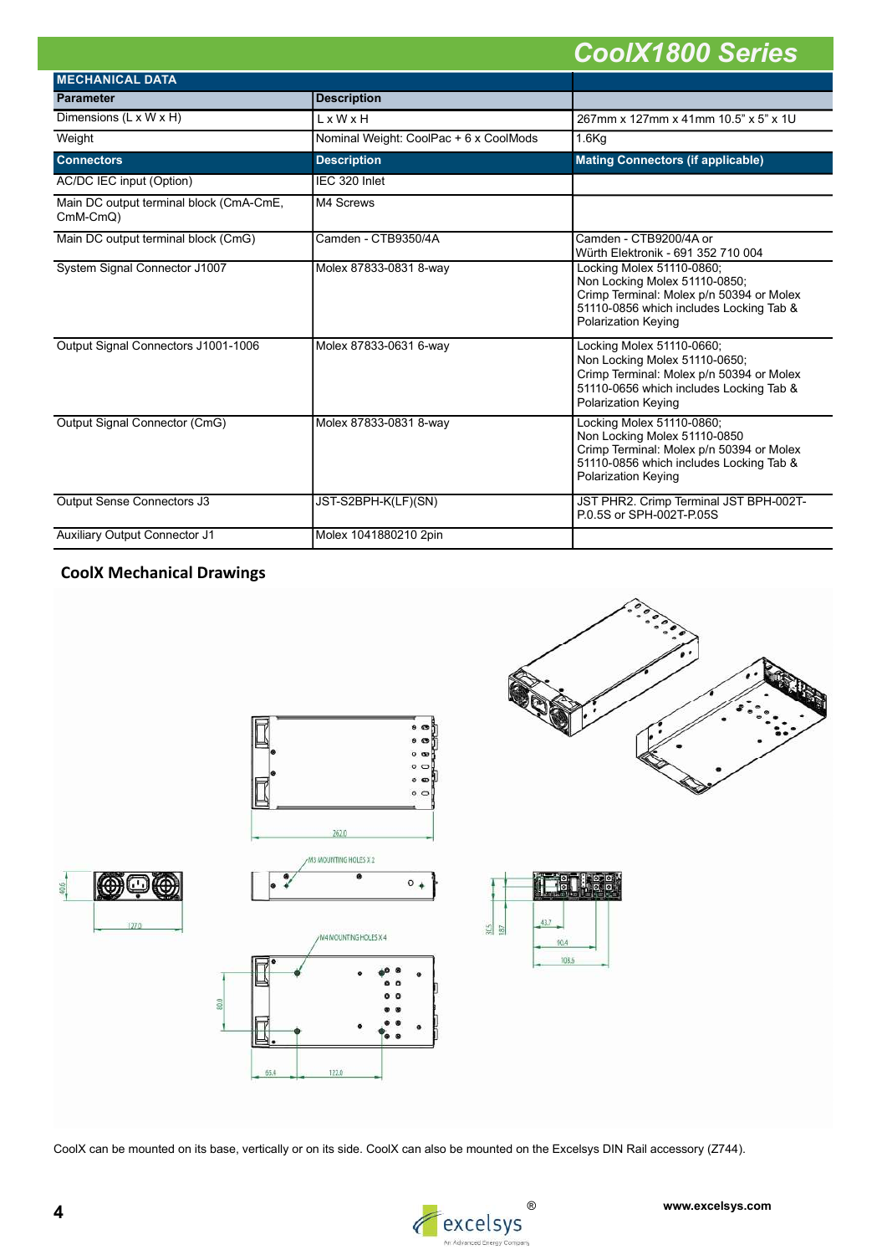| <b>MECHANICAL DATA</b>                              |                                        |                                                                                                                                                                                 |  |  |  |
|-----------------------------------------------------|----------------------------------------|---------------------------------------------------------------------------------------------------------------------------------------------------------------------------------|--|--|--|
| <b>Parameter</b>                                    | <b>Description</b>                     |                                                                                                                                                                                 |  |  |  |
| Dimensions (L x W x H)                              | L x W x H                              | 267mm x 127mm x 41mm 10.5" x 5" x 1U                                                                                                                                            |  |  |  |
| Weight                                              | Nominal Weight: CoolPac + 6 x CoolMods | $1.6$ Kg                                                                                                                                                                        |  |  |  |
| <b>Connectors</b>                                   | <b>Description</b>                     | <b>Mating Connectors (if applicable)</b>                                                                                                                                        |  |  |  |
| AC/DC IEC input (Option)                            | IEC 320 Inlet                          |                                                                                                                                                                                 |  |  |  |
| Main DC output terminal block (CmA-CmE,<br>CmM-CmQ) | M4 Screws                              |                                                                                                                                                                                 |  |  |  |
| Main DC output terminal block (CmG)                 | Camden - CTB9350/4A                    | Camden - CTB9200/4A or<br>Würth Elektronik - 691 352 710 004                                                                                                                    |  |  |  |
| System Signal Connector J1007                       | Molex 87833-0831 8-way                 | Locking Molex 51110-0860;<br>Non Locking Molex 51110-0850;<br>Crimp Terminal: Molex p/n 50394 or Molex<br>51110-0856 which includes Locking Tab &<br>Polarization Keying        |  |  |  |
| Output Signal Connectors J1001-1006                 | Molex 87833-0631 6-way                 | Locking Molex 51110-0660;<br>Non Locking Molex 51110-0650;<br>Crimp Terminal: Molex p/n 50394 or Molex<br>51110-0656 which includes Locking Tab &<br><b>Polarization Keying</b> |  |  |  |
| Output Signal Connector (CmG)                       | Molex 87833-0831 8-way                 | Locking Molex 51110-0860;<br>Non Locking Molex 51110-0850<br>Crimp Terminal: Molex p/n 50394 or Molex<br>51110-0856 which includes Locking Tab &<br>Polarization Keying         |  |  |  |
| Output Sense Connectors J3                          | JST-S2BPH-K(LF)(SN)                    | JST PHR2. Crimp Terminal JST BPH-002T-<br>P.0.5S or SPH-002T-P.05S                                                                                                              |  |  |  |
| <b>Auxiliary Output Connector J1</b>                | Molex 1041880210 2pin                  |                                                                                                                                                                                 |  |  |  |

# CoolX Mechanical Drawings



CoolX can be mounted on its base, vertically or on its side. CoolX can also be mounted on the Excelsys DIN Rail accessory (Z744).



40.6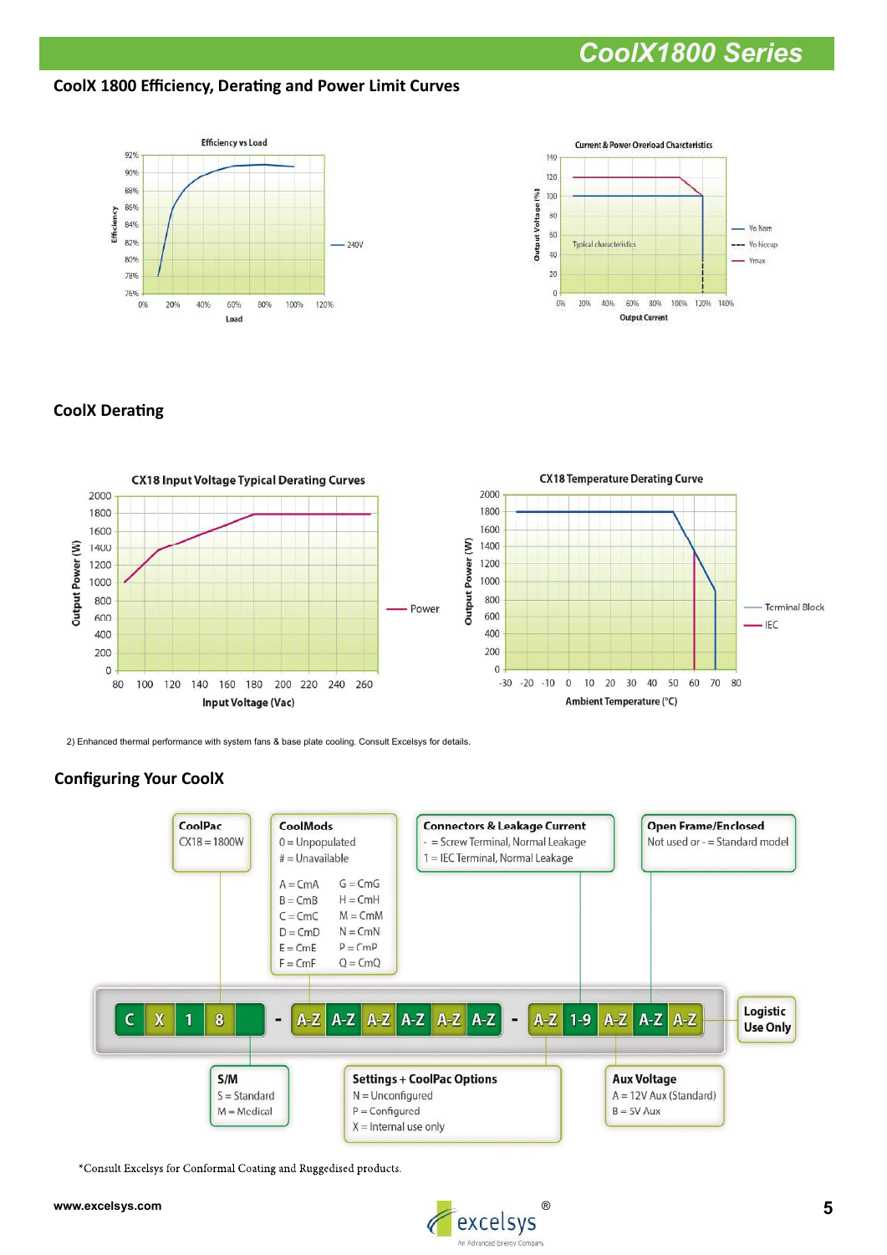CoolX 1800 Efficiency, Derating and Power Limit Curves





# **CoolX Derating**



2) Enhanced thermal performance with system fans & base plate cooling. Consult Excelsys for details.

# **Configuring Your CoolX**



\*Consult Excelsys for Conformal Coating and Ruggedised products.

#### www.excelsys.com